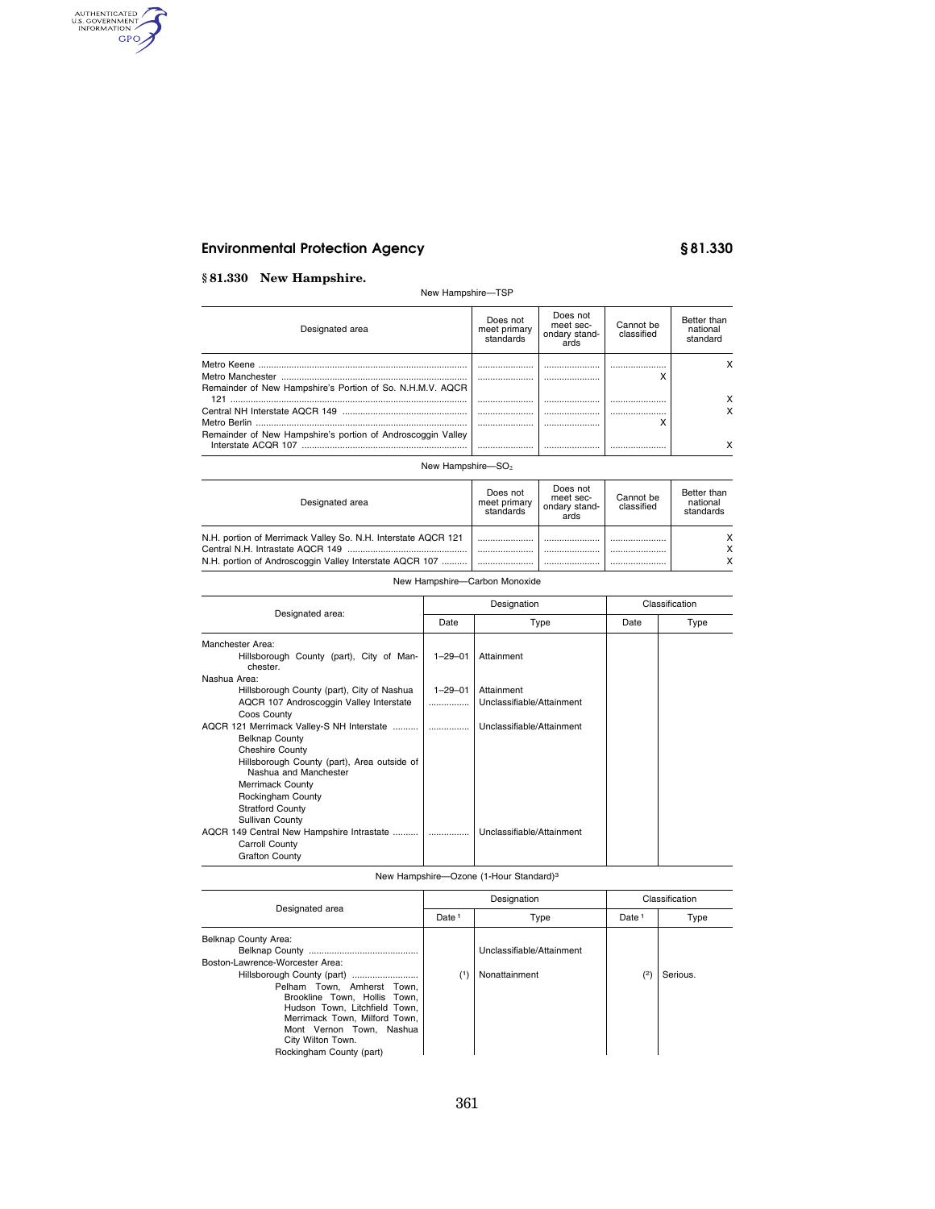# **Environmental Protection Agency § 81.330**

## **§ 81.330 New Hampshire.**

AUTHENTICATED

## New Hampshire—TSP

| Designated area                                             | Does not<br>meet primary<br>standards | Does not<br>meet sec-<br>ondary stand-<br>ards | Cannot be<br>classified | Better than<br>national<br>standard |
|-------------------------------------------------------------|---------------------------------------|------------------------------------------------|-------------------------|-------------------------------------|
| Remainder of New Hampshire's Portion of So. N.H.M.V. AQCR   |                                       | <br>                                           | <br>́                   |                                     |
| 121                                                         |                                       |                                                |                         |                                     |
|                                                             | <br>                                  | <br>                                           | <br>́                   |                                     |
| Remainder of New Hampshire's portion of Androscoggin Valley |                                       |                                                |                         |                                     |

### New Hampshire- $SO<sub>2</sub>$

| Designated area                                                                                                          | Does not<br>meet primary<br>standards | Does not<br>meet sec-<br>ondary stand-<br>ards | Cannot be<br>classified | Better than<br>national<br>standards |
|--------------------------------------------------------------------------------------------------------------------------|---------------------------------------|------------------------------------------------|-------------------------|--------------------------------------|
| N.H. portion of Merrimack Valley So. N.H. Interstate AQCR 121<br>N.H. portion of Androscoggin Valley Interstate AQCR 107 |                                       |                                                |                         | X<br>x<br>x                          |

## New Hampshire—Carbon Monoxide

| Designated area:                                                     |               | Designation               | Classification |      |  |
|----------------------------------------------------------------------|---------------|---------------------------|----------------|------|--|
|                                                                      | Date          | Type                      | Date           | Type |  |
| Manchester Area:                                                     |               |                           |                |      |  |
| Hillsborough County (part), City of Man-<br>chester.                 | $1 - 29 - 01$ | Attainment                |                |      |  |
| Nashua Area:                                                         |               |                           |                |      |  |
| Hillsborough County (part), City of Nashua                           | $1 - 29 - 01$ | Attainment                |                |      |  |
| AQCR 107 Androscoggin Valley Interstate                              | .             | Unclassifiable/Attainment |                |      |  |
| Coos County                                                          |               |                           |                |      |  |
| AQCR 121 Merrimack Valley-S NH Interstate                            | .             | Unclassifiable/Attainment |                |      |  |
| <b>Belknap County</b>                                                |               |                           |                |      |  |
| <b>Cheshire County</b>                                               |               |                           |                |      |  |
| Hillsborough County (part), Area outside of<br>Nashua and Manchester |               |                           |                |      |  |
| <b>Merrimack County</b>                                              |               |                           |                |      |  |
| Rockingham County                                                    |               |                           |                |      |  |
| <b>Stratford County</b>                                              |               |                           |                |      |  |
| Sullivan County                                                      |               |                           |                |      |  |
| AQCR 149 Central New Hampshire Intrastate                            |               | Unclassifiable/Attainment |                |      |  |
| Carroll County                                                       |               |                           |                |      |  |
| <b>Grafton County</b>                                                |               |                           |                |      |  |

## New Hampshire—Ozone (1-Hour Standard)3

|                                               |                   | Designation               |                   | Classification |  |
|-----------------------------------------------|-------------------|---------------------------|-------------------|----------------|--|
| Designated area                               | Date <sup>1</sup> | Type                      | Date <sup>1</sup> | Type           |  |
| Belknap County Area:                          |                   |                           |                   |                |  |
|                                               |                   | Unclassifiable/Attainment |                   |                |  |
| Boston-Lawrence-Worcester Area:               |                   |                           |                   |                |  |
| Hillsborough County (part)                    |                   | Nonattainment             | (2)               | Serious.       |  |
| Pelham Town. Amherst Town.                    |                   |                           |                   |                |  |
| Brookline Town. Hollis Town.                  |                   |                           |                   |                |  |
| Hudson Town. Litchfield Town.                 |                   |                           |                   |                |  |
| Merrimack Town, Milford Town,                 |                   |                           |                   |                |  |
| Mont Vernon Town. Nashua                      |                   |                           |                   |                |  |
| City Wilton Town.<br>Rockingham County (part) |                   |                           |                   |                |  |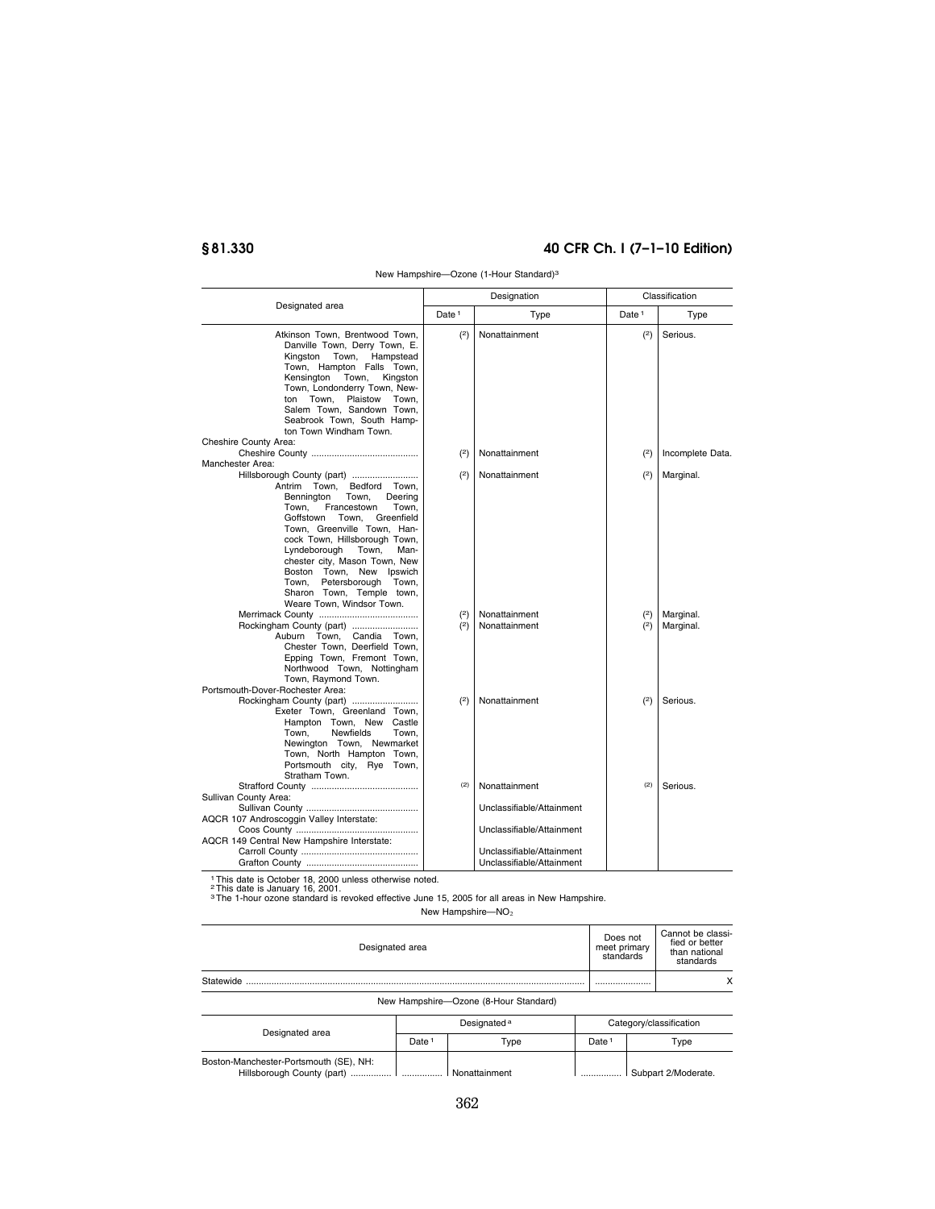# **§ 81.330 40 CFR Ch. I (7–1–10 Edition)**

|                                                                                                                                                                                                                                                                                                                                                                                                                | Designation       |                                                                                                                                   | Classification    |                        |  |
|----------------------------------------------------------------------------------------------------------------------------------------------------------------------------------------------------------------------------------------------------------------------------------------------------------------------------------------------------------------------------------------------------------------|-------------------|-----------------------------------------------------------------------------------------------------------------------------------|-------------------|------------------------|--|
| Designated area                                                                                                                                                                                                                                                                                                                                                                                                | Date <sup>1</sup> | Type                                                                                                                              | Date <sup>1</sup> | Type                   |  |
| Atkinson Town, Brentwood Town,<br>Danville Town, Derry Town, E.<br>Kingston Town, Hampstead<br>Town, Hampton Falls Town,<br>Kensington Town,<br>Kingston<br>Town, Londonderry Town, New-<br>ton Town. Plaistow Town.<br>Salem Town, Sandown Town,<br>Seabrook Town, South Hamp-<br>ton Town Windham Town.<br>Cheshire County Area:                                                                             | (2)               | Nonattainment                                                                                                                     | (2)               | Serious.               |  |
| Manchester Area:                                                                                                                                                                                                                                                                                                                                                                                               | (2)               | Nonattainment                                                                                                                     | (2)               | Incomplete Data.       |  |
| Hillsborough County (part)<br>Antrim Town. Bedford Town.<br>Town.<br>Deering<br>Bennington<br>Town.<br>Francestown<br>Town.<br>Goffstown Town, Greenfield<br>Town, Greenville Town, Han-<br>cock Town, Hillsborough Town,<br>Lyndeborough Town,<br>Man-<br>chester city, Mason Town, New<br>Boston Town, New Ipswich<br>Town.<br>Petersborough Town,<br>Sharon Town, Temple town,<br>Weare Town, Windsor Town. | (2)               | Nonattainment                                                                                                                     | (2)               | Marginal.              |  |
| Rockingham County (part)<br>Auburn Town, Candia Town,<br>Chester Town, Deerfield Town,<br>Epping Town, Fremont Town,<br>Northwood Town, Nottingham<br>Town, Raymond Town.<br>Portsmouth-Dover-Rochester Area:                                                                                                                                                                                                  | (2)<br>(2)        | Nonattainment<br>Nonattainment                                                                                                    | (2)<br>(2)        | Marginal.<br>Marginal. |  |
| Rockingham County (part)<br>Exeter Town, Greenland Town,<br>Hampton Town, New Castle<br>Town.<br><b>Newfields</b><br>Town.<br>Newington Town, Newmarket<br>Town, North Hampton Town,<br>Portsmouth city, Rye Town,<br>Stratham Town.                                                                                                                                                                           | (2)               | Nonattainment                                                                                                                     | (2)               | Serious.               |  |
| Sullivan County Area:<br>AQCR 107 Androscoggin Valley Interstate:<br>AQCR 149 Central New Hampshire Interstate:<br>1 This data is October 18, 2000 upleas athenuice pated                                                                                                                                                                                                                                      | (2)               | Nonattainment<br>Unclassifiable/Attainment<br>Unclassifiable/Attainment<br>Unclassifiable/Attainment<br>Unclassifiable/Attainment | (2)               | Serious.               |  |

New Hampshire—Ozone (1-Hour Standard)3

1 This date is October 18, 2000 unless otherwise noted.<br><sup>2</sup> This date is January 16, 2001.<br><sup>3</sup> The 1-hour ozone standard is revoked effective June 15, 2005 for all areas in New Hampshire.

New Hampshire-NO<sub>2</sub>

| Designated area                       |                   |                         |                   | Does not<br>meet primary<br>standards | Cannot be classi-<br>fied or better<br>than national<br>standards |
|---------------------------------------|-------------------|-------------------------|-------------------|---------------------------------------|-------------------------------------------------------------------|
| Statewide                             |                   |                         |                   |                                       | x                                                                 |
| New Hampshire-Ozone (8-Hour Standard) |                   |                         |                   |                                       |                                                                   |
|                                       |                   | Designated <sup>a</sup> |                   | Category/classification               |                                                                   |
| Designated area                       | Date <sup>1</sup> | Type                    | Date <sup>1</sup> |                                       | Type                                                              |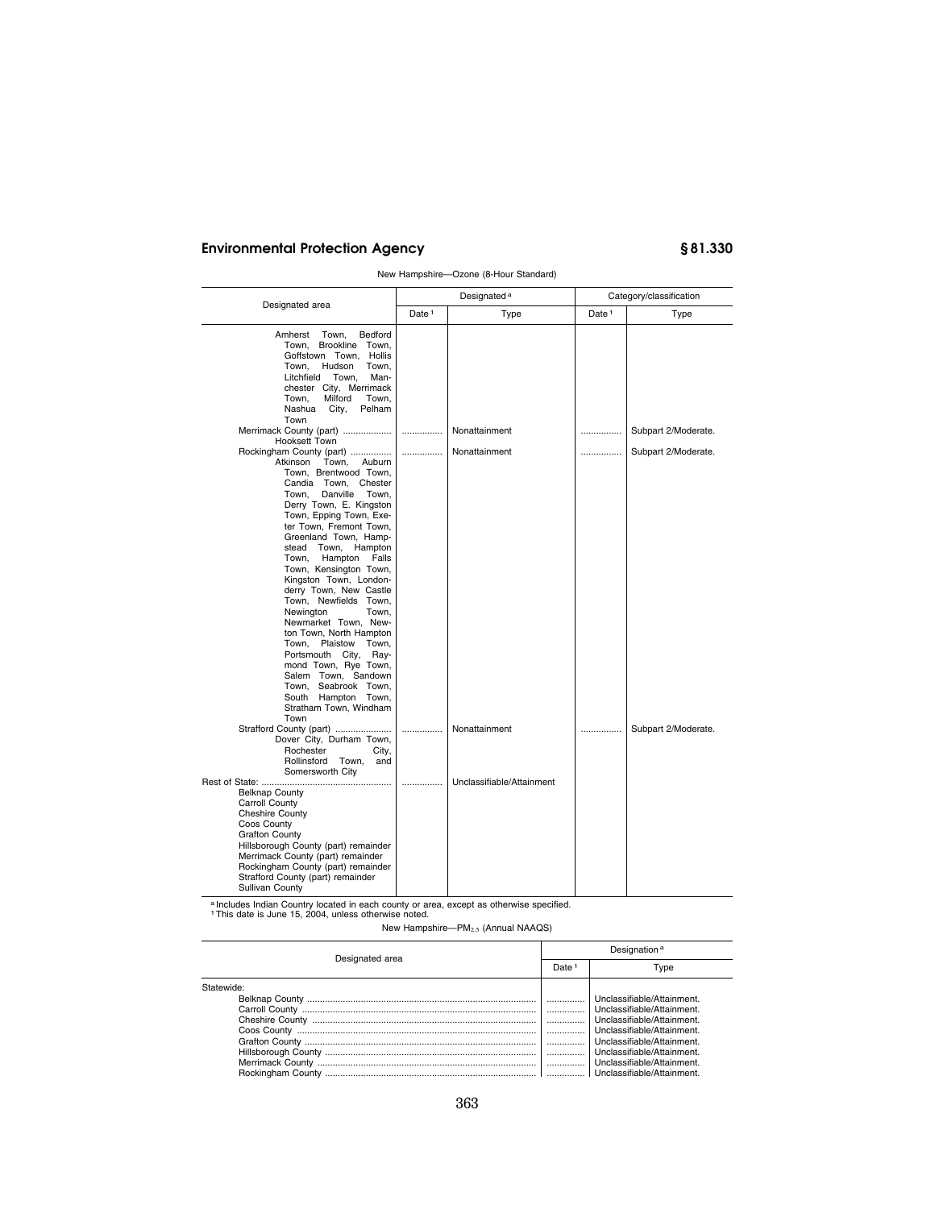# **Environmental Protection Agency § 81.330**

|                                                                                                                                                                                                                                                                                                                                                                                                                                                                                                                                                                                                                                                                                |                   | Designated <sup>a</sup>   |                   | Category/classification |
|--------------------------------------------------------------------------------------------------------------------------------------------------------------------------------------------------------------------------------------------------------------------------------------------------------------------------------------------------------------------------------------------------------------------------------------------------------------------------------------------------------------------------------------------------------------------------------------------------------------------------------------------------------------------------------|-------------------|---------------------------|-------------------|-------------------------|
| Designated area                                                                                                                                                                                                                                                                                                                                                                                                                                                                                                                                                                                                                                                                | Date <sup>1</sup> | Type                      | Date <sup>1</sup> | Type                    |
| Bedford<br>Amherst<br>Town.<br>Town.<br>Brookline Town,<br>Goffstown Town, Hollis<br>Town.<br>Hudson<br>Town,<br>Litchfield<br>Town,<br>Man-<br>chester City, Merrimack<br>Milford<br>Town,<br>Town,<br>Nashua<br>City,<br>Pelham<br>Town                                                                                                                                                                                                                                                                                                                                                                                                                                      |                   |                           |                   |                         |
| Merrimack County (part)<br>Hooksett Town                                                                                                                                                                                                                                                                                                                                                                                                                                                                                                                                                                                                                                       |                   | Nonattainment             |                   | Subpart 2/Moderate.     |
| Rockingham County (part)<br>Atkinson<br>Town,<br>Auburn<br>Town, Brentwood Town,<br>Candia Town, Chester<br>Town.<br>Danville<br>Town.<br>Derry Town, E. Kingston<br>Town, Epping Town, Exe-<br>ter Town, Fremont Town,<br>Greenland Town, Hamp-<br>stead Town,<br>Hampton<br>Town,<br>Hampton<br>Falls<br>Town, Kensington Town,<br>Kingston Town, London-<br>derry Town, New Castle<br>Town, Newfields Town,<br>Newington<br>Town,<br>Newmarket Town, New-<br>ton Town, North Hampton<br>Town,<br>Plaistow<br>Town,<br>Portsmouth City, Ray-<br>mond Town, Rye Town,<br>Salem Town. Sandown<br>Town. Seabrook Town.<br>South Hampton Town,<br>Stratham Town, Windham<br>Town | .                 | Nonattainment             | .                 | Subpart 2/Moderate.     |
| Strafford County (part)<br>Dover City, Durham Town,<br>Rochester<br>City,<br>Rollinsford Town,<br>and                                                                                                                                                                                                                                                                                                                                                                                                                                                                                                                                                                          |                   | Nonattainment             |                   | Subpart 2/Moderate.     |
| Somersworth City<br><b>Belknap County</b><br>Carroll County<br><b>Cheshire County</b><br>Coos County<br><b>Grafton County</b><br>Hillsborough County (part) remainder<br>Merrimack County (part) remainder<br>Rockingham County (part) remainder<br>Strafford County (part) remainder<br>Sullivan County                                                                                                                                                                                                                                                                                                                                                                       | .                 | Unclassifiable/Attainment |                   |                         |

New Hampshire—Ozone (8-Hour Standard)

a Includes Indian Country located in each county or area, except as otherwise specified.<br>1 This date is June 15, 2004, unless otherwise noted.

New Hampshire—PM2.5 (Annual NAAQS)

| Designated area |   | Designation <sup>a</sup>   |
|-----------------|---|----------------------------|
|                 |   | Type                       |
| Statewide:      |   |                            |
|                 |   | Unclassifiable/Attainment. |
|                 | . | Unclassifiable/Attainment. |
|                 | . | Unclassifiable/Attainment. |
|                 | . | Unclassifiable/Attainment. |
|                 | . | Unclassifiable/Attainment. |
|                 |   | Unclassifiable/Attainment. |
|                 |   | Unclassifiable/Attainment. |
|                 |   |                            |